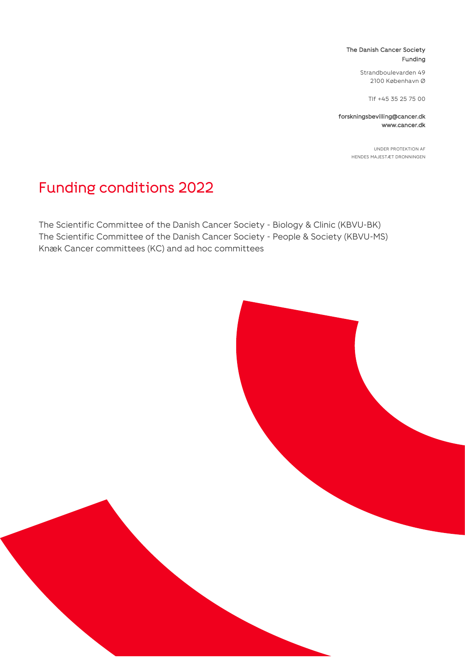#### The Danish Cancer Society Funding

Strandboulevarden 49 2100 København Ø

Tlf +45 35 25 75 00

forskningsbevilling@cancer.dk www.cancer.dk

> UNDER PROTEKTION AF HENDES MAJESTÆT DRONNINGEN

# Funding conditions 2022

The Scientific Committee of the Danish Cancer Society - Biology & Clinic (KBVU-BK) The Scientific Committee of the Danish Cancer Society - People & Society (KBVU-MS) Knæk Cancer committees (KC) and ad hoc committees

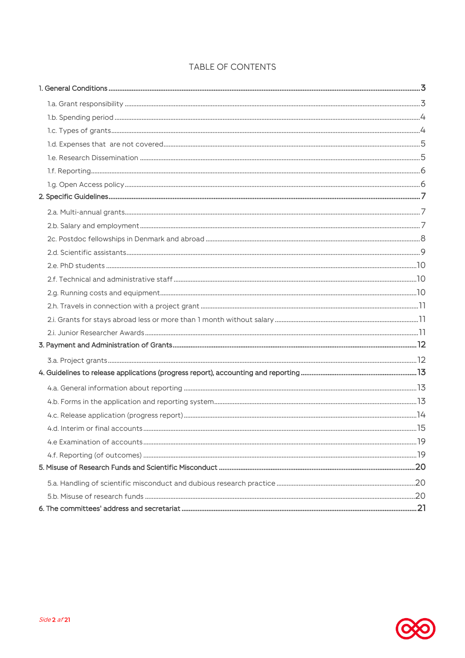### TABLE OF CONTENTS

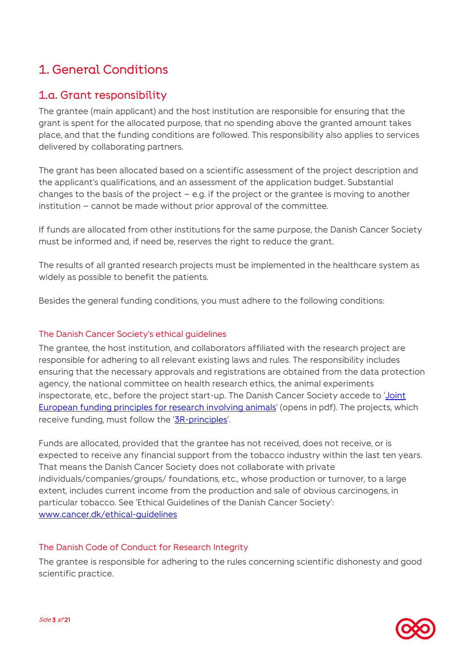# <span id="page-2-0"></span>1. General Conditions

### <span id="page-2-1"></span>1.a. Grant responsibility

The grantee (main applicant) and the host institution are responsible for ensuring that the grant is spent for the allocated purpose, that no spending above the granted amount takes place, and that the funding conditions are followed. This responsibility also applies to services delivered by collaborating partners.

The grant has been allocated based on a scientific assessment of the project description and the applicant's qualifications, and an assessment of the application budget. Substantial changes to the basis of the project  $-$  e.g. if the project or the grantee is moving to another institution – cannot be made without prior approval of the committee.

If funds are allocated from other institutions for the same purpose, the Danish Cancer Society must be informed and, if need be, reserves the right to reduce the grant.

The results of all granted research projects must be implemented in the healthcare system as widely as possible to benefit the patients.

Besides the general funding conditions, you must adhere to the following conditions:

### The Danish Cancer Society's ethical guidelines

The grantee, the host institution, and collaborators affiliated with the research project are responsible for adhering to all relevant existing laws and rules. The responsibility includes ensuring that the necessary approvals and registrations are obtained from the data protection agency, the national committee on health research ethics, the animal experiments inspectorate, etc., before the project start-up. The Danish Cancer Society accede to 'Joint [European funding principles for research involving animals](https://wellcome.ac.uk/sites/default/files/funding-principles-for-research-involving-animals.pdf)' (opens in pdf). The projects, which receive funding, must follow the '[3R-principles](https://en.3rcenter.dk/laboratory-animals/animal-testing/)'.

Funds are allocated, provided that the grantee has not received, does not receive, or is expected to receive any financial support from the tobacco industry within the last ten years. That means the Danish Cancer Society does not collaborate with private individuals/companies/groups/ foundations, etc., whose production or turnover, to a large extent, includes current income from the production and sale of obvious carcinogens, in particular tobacco. See 'Ethical Guidelines of the Danish Cancer Society': [www.cancer.dk/ethical-guidelines](http://www.cancer.dk/etiske-retningslinjer)

### The Danish Code of Conduct for Research Integrity

The grantee is responsible for adhering to the rules concerning scientific dishonesty and good scientific practice.

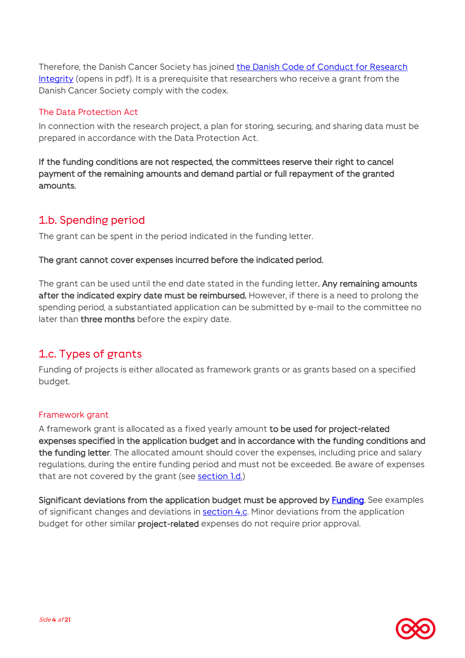Therefore, the Danish Cancer Society has joined [the Danish Code of Conduct for Research](http://www.cancer.dk/thedanishcodeofconduct)  [Integrity](http://www.cancer.dk/thedanishcodeofconduct) (opens in pdf). It is a prerequisite that researchers who receive a grant from the Danish Cancer Society comply with the codex.

### The Data Protection Act

In connection with the research project, a plan for storing, securing, and sharing data must be prepared in accordance with the Data Protection Act.

If the funding conditions are not respected, the committees reserve their right to cancel payment of the remaining amounts and demand partial or full repayment of the granted amounts.

### <span id="page-3-0"></span>1.b. Spending period

<span id="page-3-2"></span>The grant can be spent in the period indicated in the funding letter.

### The grant cannot cover expenses incurred before the indicated period.

The grant can be used until the end date stated in the funding letter. Any remaining amounts after the indicated expiry date must be reimbursed. However, if there is a need to prolong the spending period, a substantiated application can be submitted by e-mail to the committee no later than three months before the expiry date.

# <span id="page-3-1"></span>1.c. Types of grants

Funding of projects is either allocated as framework grants or as grants based on a specified budget.

### Framework grant

A framework grant is allocated as a fixed yearly amount to be used for project-related expenses specified in the application budget and in accordance with the funding conditions and the funding letter. The allocated amount should cover the expenses, including price and salary regulations, during the entire funding period and must not be exceeded. Be aware of expenses that are not covered by the grant (see section l.d.)

Significant deviations from the application budget must be approved by [Funding.](#page-20-0) See examples of significant changes and deviations in **section 4.c**. Minor deviations from the application budget for other similar project-related expenses do not require prior approval.

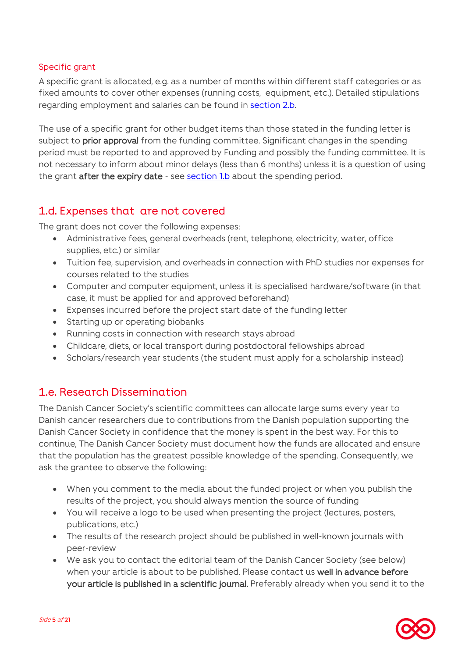### Specific grant

A specific grant is allocated, e.g. as a number of months within different staff categories or as fixed amounts to cover other expenses (running costs, equipment, etc.). Detailed stipulations regarding employment and salaries can be found in [section 2.b.](#page-6-2)

The use of a specific grant for other budget items than those stated in the funding letter is subject to prior approval from the funding committee. Significant changes in the spending period must be reported to and approved by Funding and possibly the funding committee. It is not necessary to inform about minor delays (less than 6 months) unless it is a question of using the grant after the expiry date - see [section 1.b](#page-3-2) about the spending period.

### <span id="page-4-0"></span>1.d. Expenses that are not covered

The grant does not cover the following expenses:

- Administrative fees, general overheads (rent, telephone, electricity, water, office supplies, etc.) or similar
- Tuition fee, supervision, and overheads in connection with PhD studies nor expenses for courses related to the studies
- Computer and computer equipment, unless it is specialised hardware/software (in that case, it must be applied for and approved beforehand)
- Expenses incurred before the project start date of the funding letter
- Starting up or operating biobanks
- Running costs in connection with research stays abroad
- Childcare, diets, or local transport during postdoctoral fellowships abroad
- Scholars/research year students (the student must apply for a scholarship instead)

# <span id="page-4-1"></span>1.e. Research Dissemination

The Danish Cancer Society's scientific committees can allocate large sums every year to Danish cancer researchers due to contributions from the Danish population supporting the Danish Cancer Society in confidence that the money is spent in the best way. For this to continue, The Danish Cancer Society must document how the funds are allocated and ensure that the population has the greatest possible knowledge of the spending. Consequently, we ask the grantee to observe the following:

- When you comment to the media about the funded project or when you publish the results of the project, you should always mention the source of funding
- You will receive a logo to be used when presenting the project (lectures, posters, publications, etc.)
- The results of the research project should be published in well-known journals with peer-review
- We ask you to contact the editorial team of the Danish Cancer Society (see below) when your article is about to be published. Please contact us well in advance before your article is published in a scientific journal. Preferably already when you send it to the

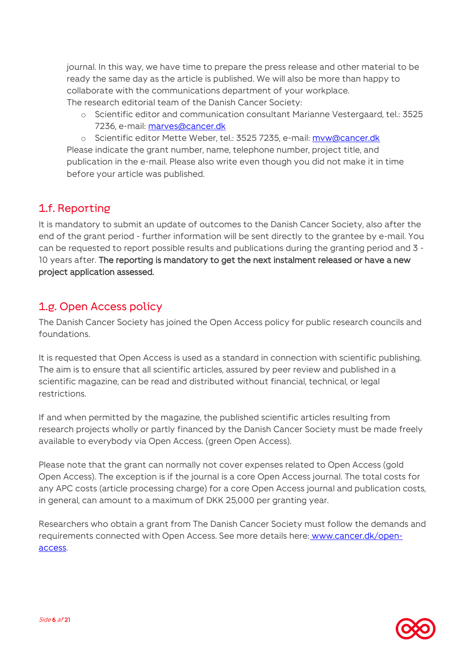journal. In this way, we have time to prepare the press release and other material to be ready the same day as the article is published. We will also be more than happy to collaborate with the communications department of your workplace. The research editorial team of the Danish Cancer Society:

o Scientific editor and communication consultant Marianne Vestergaard, tel.: 3525 7236, e-mail: [marves@cancer.dk](mailto:marves@cancer.dk)

o Scientific editor Mette Weber, tel.: 3525 7235, e-mail: [mvw@cancer.dk](mailto:marves@cancer.dk) Please indicate the grant number, name, telephone number, project title, and publication in the e-mail. Please also write even though you did not make it in time before your article was published.

# <span id="page-5-0"></span>1.f. Reporting

It is mandatory to submit an update of outcomes to the Danish Cancer Society, also after the end of the grant period - further information will be sent directly to the grantee by e-mail. You can be requested to report possible results and publications during the granting period and 3 - 10 years after. The reporting is mandatory to get the next instalment released or have a new project application assessed.

## <span id="page-5-1"></span>1.g. Open Access policy

The Danish Cancer Society has joined the Open Access policy for public research councils and foundations.

It is requested that Open Access is used as a standard in connection with scientific publishing. The aim is to ensure that all scientific articles, assured by peer review and published in a scientific magazine, can be read and distributed without financial, technical, or legal restrictions.

If and when permitted by the magazine, the published scientific articles resulting from research projects wholly or partly financed by the Danish Cancer Society must be made freely available to everybody via Open Access. (green Open Access).

Please note that the grant can normally not cover expenses related to Open Access (gold Open Access). The exception is if the journal is a core Open Access journal. The total costs for any APC costs (article processing charge) for a core Open Access journal and publication costs, in general, can amount to a maximum of DKK 25,000 per granting year.

Researchers who obtain a grant from The Danish Cancer Society must follow the demands and requirements connected with Open Access. See more details here: [www.cancer.dk/open](https://www.cancer.dk/forskning/stoette-til-forskning/til-bevillingshavere/open-access/)[access.](https://www.cancer.dk/forskning/stoette-til-forskning/til-bevillingshavere/open-access/)

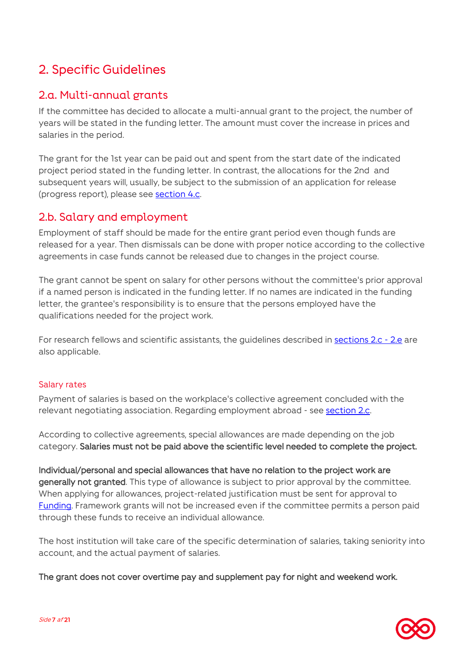# <span id="page-6-0"></span>2. Specific Guidelines

## <span id="page-6-1"></span>2.a. Multi-annual grants

If the committee has decided to allocate a multi-annual grant to the project, the number of years will be stated in the funding letter. The amount must cover the increase in prices and salaries in the period.

The grant for the 1st year can be paid out and spent from the start date of the indicated project period stated in the funding letter. In contrast, the allocations for the 2nd and subsequent years will, usually, be subject to the submission of an application for release (progress report), please see [section 4.c.](#page-13-0)

### <span id="page-6-2"></span>2.b. Salary and employment

Employment of staff should be made for the entire grant period even though funds are released for a year. Then dismissals can be done with proper notice according to the collective agreements in case funds cannot be released due to changes in the project course.

The grant cannot be spent on salary for other persons without the committee's prior approval if a named person is indicated in the funding letter. If no names are indicated in the funding letter, the grantee's responsibility is to ensure that the persons employed have the qualifications needed for the project work.

For research fellows and scientific assistants, the guidelines described in [sections](#page-7-0) 2.c - 2.e are also applicable.

### Salary rates

Payment of salaries is based on the workplace's collective agreement concluded with the relevant negotiating association. Regarding employment abroad - see [section 2.c.](#page-7-0)

According to collective agreements, special allowances are made depending on the job category. Salaries must not be paid above the scientific level needed to complete the project.

Individual/personal and special allowances that have no relation to the project work are generally not granted. This type of allowance is subject to prior approval by the committee. When applying for allowances, project-related justification must be sent for approval to [Funding.](#page-20-0) Framework grants will not be increased even if the committee permits a person paid through these funds to receive an individual allowance.

The host institution will take care of the specific determination of salaries, taking seniority into account, and the actual payment of salaries.

The grant does not cover overtime pay and supplement pay for night and weekend work.

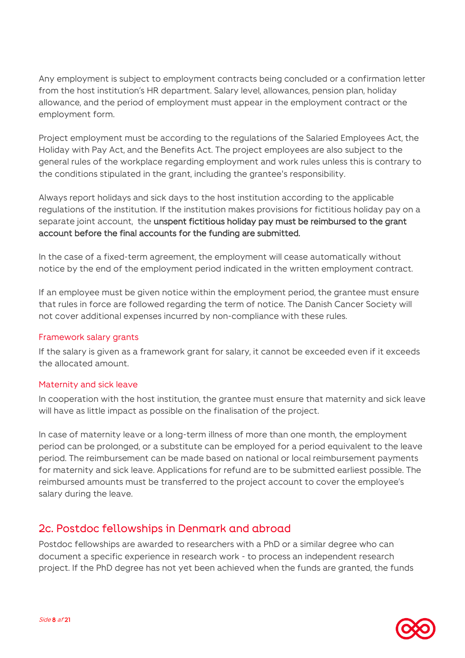Any employment is subject to employment contracts being concluded or a confirmation letter from the host institution's HR department. Salary level, allowances, pension plan, holiday allowance, and the period of employment must appear in the employment contract or the employment form.

Project employment must be according to the regulations of the Salaried Employees Act, the Holiday with Pay Act, and the Benefits Act. The project employees are also subject to the general rules of the workplace regarding employment and work rules unless this is contrary to the conditions stipulated in the grant, including the grantee's responsibility.

Always report holidays and sick days to the host institution according to the applicable regulations of the institution. If the institution makes provisions for fictitious holiday pay on a separate joint account, the unspent fictitious holiday pay must be reimbursed to the grant account before the final accounts for the funding are submitted.

In the case of a fixed-term agreement, the employment will cease automatically without notice by the end of the employment period indicated in the written employment contract.

If an employee must be given notice within the employment period, the grantee must ensure that rules in force are followed regarding the term of notice. The Danish Cancer Society will not cover additional expenses incurred by non-compliance with these rules.

### Framework salary grants

If the salary is given as a framework grant for salary, it cannot be exceeded even if it exceeds the allocated amount.

### Maternity and sick leave

In cooperation with the host institution, the grantee must ensure that maternity and sick leave will have as little impact as possible on the finalisation of the project.

In case of maternity leave or a long-term illness of more than one month, the employment period can be prolonged, or a substitute can be employed for a period equivalent to the leave period. The reimbursement can be made based on national or local reimbursement payments for maternity and sick leave. Applications for refund are to be submitted earliest possible. The reimbursed amounts must be transferred to the project account to cover the employee's salary during the leave.

### <span id="page-7-0"></span>2c. Postdoc fellowships in Denmark and abroad

Postdoc fellowships are awarded to researchers with a PhD or a similar degree who can document a specific experience in research work - to process an independent research project. If the PhD degree has not yet been achieved when the funds are granted, the funds

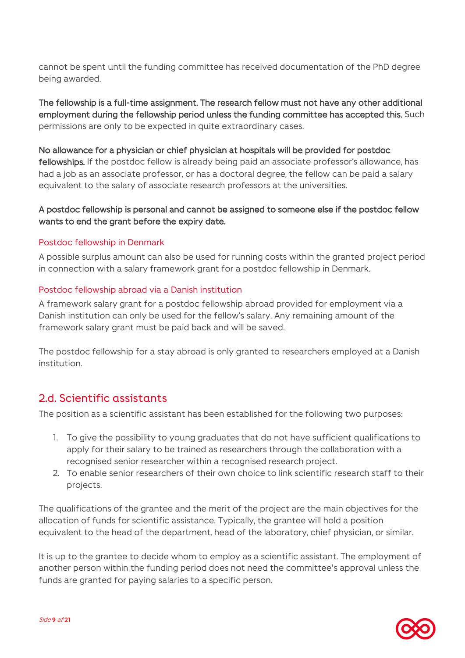cannot be spent until the funding committee has received documentation of the PhD degree being awarded.

The fellowship is a full-time assignment. The research fellow must not have any other additional employment during the fellowship period unless the funding committee has accepted this. Such permissions are only to be expected in quite extraordinary cases.

#### No allowance for a physician or chief physician at hospitals will be provided for postdoc

fellowships. If the postdoc fellow is already being paid an associate professor's allowance, has had a job as an associate professor, or has a doctoral degree, the fellow can be paid a salary equivalent to the salary of associate research professors at the universities.

### A postdoc fellowship is personal and cannot be assigned to someone else if the postdoc fellow wants to end the grant before the expiry date.

### Postdoc fellowship in Denmark

A possible surplus amount can also be used for running costs within the granted project period in connection with a salary framework grant for a postdoc fellowship in Denmark.

#### Postdoc fellowship abroad via a Danish institution

A framework salary grant for a postdoc fellowship abroad provided for employment via a Danish institution can only be used for the fellow's salary. Any remaining amount of the framework salary grant must be paid back and will be saved.

The postdoc fellowship for a stay abroad is only granted to researchers employed at a Danish institution.

### <span id="page-8-0"></span>2.d. Scientific assistants

The position as a scientific assistant has been established for the following two purposes:

- 1. To give the possibility to young graduates that do not have sufficient qualifications to apply for their salary to be trained as researchers through the collaboration with a recognised senior researcher within a recognised research project.
- 2. To enable senior researchers of their own choice to link scientific research staff to their projects.

The qualifications of the grantee and the merit of the project are the main objectives for the allocation of funds for scientific assistance. Typically, the grantee will hold a position equivalent to the head of the department, head of the laboratory, chief physician, or similar.

It is up to the grantee to decide whom to employ as a scientific assistant. The employment of another person within the funding period does not need the committee's approval unless the funds are granted for paying salaries to a specific person.

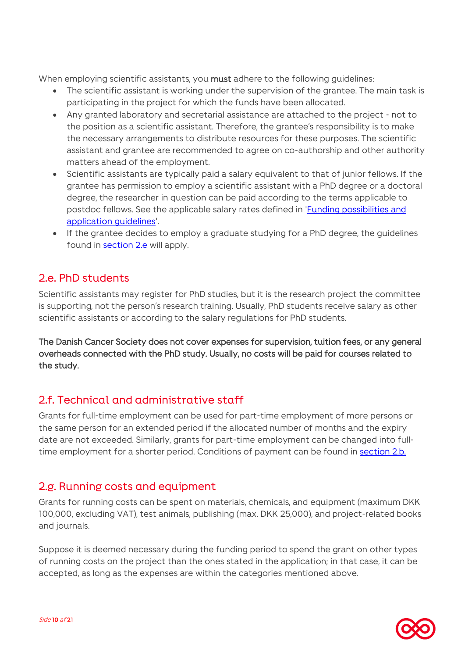When employing scientific assistants, you must adhere to the following quidelines:

- The scientific assistant is working under the supervision of the grantee. The main task is participating in the project for which the funds have been allocated.
- Any granted laboratory and secretarial assistance are attached to the project not to the position as a scientific assistant. Therefore, the grantee's responsibility is to make the necessary arrangements to distribute resources for these purposes. The scientific assistant and grantee are recommended to agree on co-authorship and other authority matters ahead of the employment.
- Scientific assistants are typically paid a salary equivalent to that of junior fellows. If the grantee has permission to employ a scientific assistant with a PhD degree or a doctoral degree, the researcher in question can be paid according to the terms applicable to postdoc fellows. See the applicable salary rates defined in ['Funding possibilities and](https://www.cancer.dk/forskning/stoette-til-forskning/til-bevillingshavere/)  [application guidelines'.](https://www.cancer.dk/forskning/stoette-til-forskning/til-bevillingshavere/)
- If the grantee decides to employ a graduate studying for a PhD degree, the guidelines found in [section 2.e](#page-9-0) will apply.

## <span id="page-9-0"></span>2.e. PhD students

Scientific assistants may register for PhD studies, but it is the research project the committee is supporting, not the person's research training. Usually, PhD students receive salary as other scientific assistants or according to the salary regulations for PhD students.

The Danish Cancer Society does not cover expenses for supervision, tuition fees, or any general overheads connected with the PhD study. Usually, no costs will be paid for courses related to the study.

### <span id="page-9-1"></span>2.f. Technical and administrative staff

Grants for full-time employment can be used for part-time employment of more persons or the same person for an extended period if the allocated number of months and the expiry date are not exceeded. Similarly, grants for part-time employment can be changed into fulltime employment for a shorter period. Conditions of payment can be found in [section 2.b.](#page-6-2)

# <span id="page-9-2"></span>2.g. Running costs and equipment

Grants for running costs can be spent on materials, chemicals, and equipment (maximum DKK 100,000, excluding VAT), test animals, publishing (max. DKK 25,000), and project-related books and journals.

Suppose it is deemed necessary during the funding period to spend the grant on other types of running costs on the project than the ones stated in the application; in that case, it can be accepted, as long as the expenses are within the categories mentioned above.

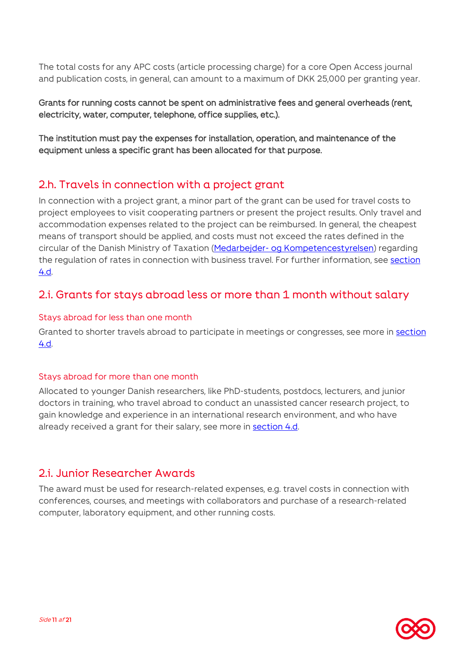The total costs for any APC costs (article processing charge) for a core Open Access journal and publication costs, in general, can amount to a maximum of DKK 25,000 per granting year.

Grants for running costs cannot be spent on administrative fees and general overheads (rent, electricity, water, computer, telephone, office supplies, etc.).

The institution must pay the expenses for installation, operation, and maintenance of the equipment unless a specific grant has been allocated for that purpose.

### <span id="page-10-0"></span>2.h. Travels in connection with a project grant

In connection with a project grant, a minor part of the grant can be used for travel costs to project employees to visit cooperating partners or present the project results. Only travel and accommodation expenses related to the project can be reimbursed. In general, the cheapest means of transport should be applied, and costs must not exceed the rates defined in the circular of the Danish Ministry of Taxation (Medarbejder- [og Kompetencestyrelsen\)](https://www.medst.dk/soegeside/?q=cirkul%C3%A6re+om+tjenesterejser+2022) regarding the regulation of rates in connection with business travel. For further information, see section [4.d.](#page-14-0)

### <span id="page-10-1"></span>2.i. Grants for stays abroad less or more than 1 month without salary

### Stays abroad for less than one month

Granted to shorter travels abroad to participate in meetings or congresses, see more in [section](#page-14-0)  [4.d.](#page-14-0)

### Stays abroad for more than one month

Allocated to younger Danish researchers, like PhD-students, postdocs, lecturers, and junior doctors in training, who travel abroad to conduct an unassisted cancer research project, to gain knowledge and experience in an international research environment, and who have already received a grant for their salary, see more in [section 4.d.](#page-14-0)

### <span id="page-10-2"></span>2.i. Junior Researcher Awards

The award must be used for research-related expenses, e.g. travel costs in connection with conferences, courses, and meetings with collaborators and purchase of a research-related computer, laboratory equipment, and other running costs.

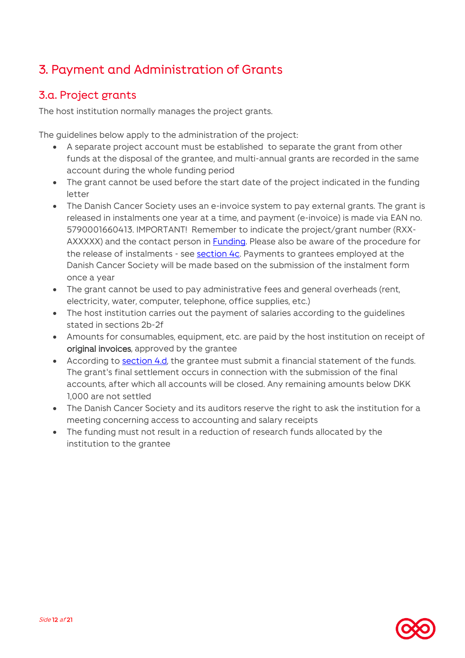# <span id="page-11-0"></span>3. Payment and Administration of Grants

# <span id="page-11-1"></span>3.a. Project grants

The host institution normally manages the project grants.

The guidelines below apply to the administration of the project:

- A separate project account must be established to separate the grant from other funds at the disposal of the grantee, and multi-annual grants are recorded in the same account during the whole funding period
- The grant cannot be used before the start date of the project indicated in the funding letter
- The Danish Cancer Society uses an e-invoice system to pay external grants. The grant is released in instalments one year at a time, and payment (e-invoice) is made via EAN no. 5790001660413. IMPORTANT! Remember to indicate the project/grant number (RXX-AXXXXX) and the contact person in **Funding**. Please also be aware of the procedure for the release of instalments - see [section 4c.](#page-13-0) Payments to grantees employed at the Danish Cancer Society will be made based on the submission of the instalment form once a year
- The grant cannot be used to pay administrative fees and general overheads (rent, electricity, water, computer, telephone, office supplies, etc.)
- The host institution carries out the payment of salaries according to the guidelines stated in [sections](#page-6-2) 2b-2f
- Amounts for consumables, equipment, etc. are paid by the host institution on receipt of original invoices, approved by the grantee
- According to [section 4.d,](#page-14-0) the grantee must submit a financial statement of the funds. The grant's final settlement occurs in connection with the submission of the final accounts, after which all accounts will be closed. Any remaining amounts below DKK 1,000 are not settled
- The Danish Cancer Society and its auditors reserve the right to ask the institution for a meeting concerning access to accounting and salary receipts
- The funding must not result in a reduction of research funds allocated by the institution to the grantee

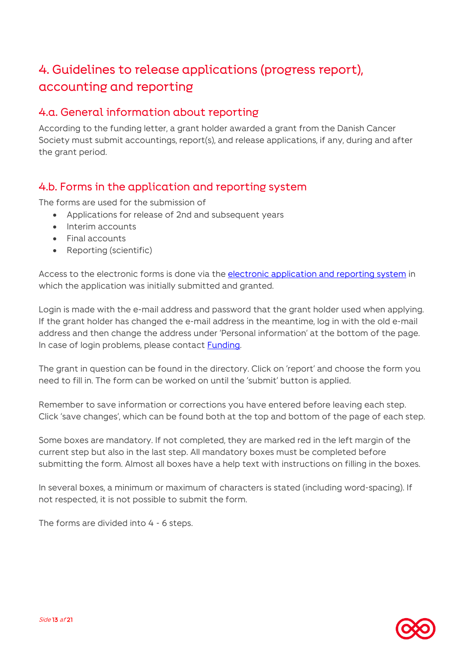# <span id="page-12-0"></span>4. Guidelines to release applications (progress report), accounting and reporting

### <span id="page-12-1"></span>4.a. General information about reporting

According to the funding letter, a grant holder awarded a grant from the Danish Cancer Society must submit accountings, report(s), and release applications, if any, during and after the grant period.

### <span id="page-12-2"></span>4.b. Forms in the application and reporting system

The forms are used for the submission of

- Applications for release of 2nd and subsequent years
- Interim accounts
- Final accounts
- Reporting (scientific)

Access to the electronic forms is done via the [electronic application and reporting system](https://www.cancer.dk/forskning/stoette-til-forskning/ansognings-og-afrapporteringssystem/) in which the application was initially submitted and granted.

Login is made with the e-mail address and password that the grant holder used when applying. If the grant holder has changed the e-mail address in the meantime, log in with the old e-mail address and then change the address under 'Personal information' at the bottom of the page. In case of login problems, please contact [Funding.](#page-20-0)

The grant in question can be found in the directory. Click on 'report' and choose the form you need to fill in. The form can be worked on until the 'submit' button is applied.

Remember to save information or corrections you have entered before leaving each step. Click 'save changes', which can be found both at the top and bottom of the page of each step.

Some boxes are mandatory. If not completed, they are marked red in the left margin of the current step but also in the last step. All mandatory boxes must be completed before submitting the form. Almost all boxes have a help text with instructions on filling in the boxes.

In several boxes, a minimum or maximum of characters is stated (including word-spacing). If not respected, it is not possible to submit the form.

The forms are divided into 4 - 6 steps.

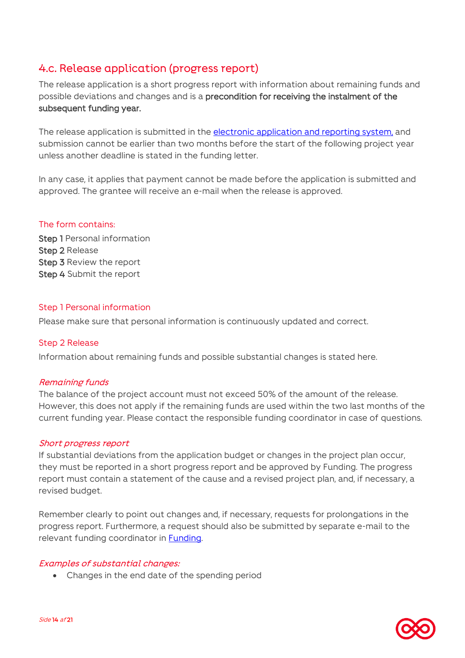# <span id="page-13-0"></span>4.c. Release application (progress report)

The release application is a short progress report with information about remaining funds and possible deviations and changes and is a precondition for receiving the instalment of the subsequent funding year.

The release application is submitted in the [electronic application and reporting system,](https://www.cancer.dk/forskning/stoette-til-forskning/ansognings-og-afrapporteringssystem/) and submission cannot be earlier than two months before the start of the following project year unless another deadline is stated in the funding letter.

In any case, it applies that payment cannot be made before the application is submitted and approved. The grantee will receive an e-mail when the release is approved.

### The form contains:

**Step 1 Personal information** Step 2 Release Step 3 Review the report Step 4 Submit the report

### Step 1 Personal information

Please make sure that personal information is continuously updated and correct.

### Step 2 Release

Information about remaining funds and possible substantial changes is stated here.

### Remaining funds

The balance of the project account must not exceed 50% of the amount of the release. However, this does not apply if the remaining funds are used within the two last months of the current funding year. Please contact the responsible funding coordinator in case of questions.

### Short progress report

If substantial deviations from the application budget or changes in the project plan occur, they must be reported in a short progress report and be approved by Funding. The progress report must contain a statement of the cause and a revised project plan, and, if necessary, a revised budget.

Remember clearly to point out changes and, if necessary, requests for prolongations in the progress report. Furthermore, a request should also be submitted by separate e-mail to the relevant funding coordinator in [Funding.](#page-20-0)

### Examples of substantial changes:

Changes in the end date of the spending period

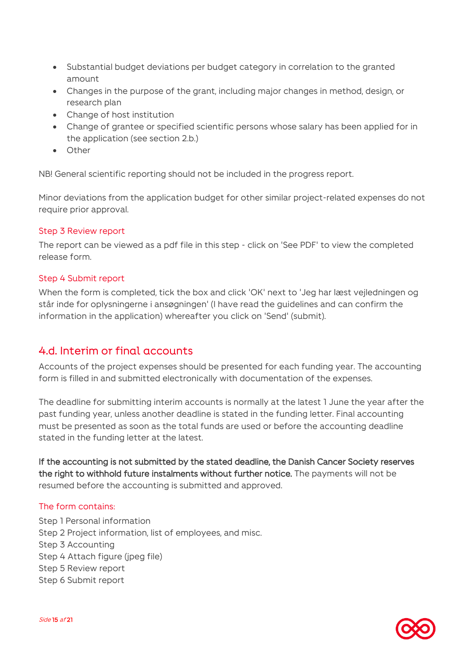- Substantial budget deviations per budget category in correlation to the granted amount
- Changes in the purpose of the grant, including major changes in method, design, or research plan
- Change of host institution
- Change of grantee or specified scientific persons whose salary has been applied for in the application (see section 2.b.)
- Other

NB! General scientific reporting should not be included in the progress report.

Minor deviations from the application budget for other similar project-related expenses do not require prior approval.

### Step 3 Review report

The report can be viewed as a pdf file in this step - click on 'See PDF' to view the completed release form.

#### Step 4 Submit report

When the form is completed, tick the box and click 'OK' next to 'Jeg har læst vejledningen og står inde for oplysningerne i ansøgningen' (I have read the guidelines and can confirm the information in the application) whereafter you click on 'Send' (submit).

### <span id="page-14-0"></span>4.d. Interim or final accounts

Accounts of the project expenses should be presented for each funding year. The accounting form is filled in and submitted electronically with documentation of the expenses.

The deadline for submitting interim accounts is normally at the latest 1 June the year after the past funding year, unless another deadline is stated in the funding letter. Final accounting must be presented as soon as the total funds are used or before the accounting deadline stated in the funding letter at the latest.

If the accounting is not submitted by the stated deadline, the Danish Cancer Society reserves the right to withhold future instalments without further notice. The payments will not be resumed before the accounting is submitted and approved.

#### The form contains:

Step 1 Personal information Step 2 Project information, list of employees, and misc. Step 3 Accounting Step 4 Attach figure (jpeg file) Step 5 Review report Step 6 Submit report

Side 15 af 21

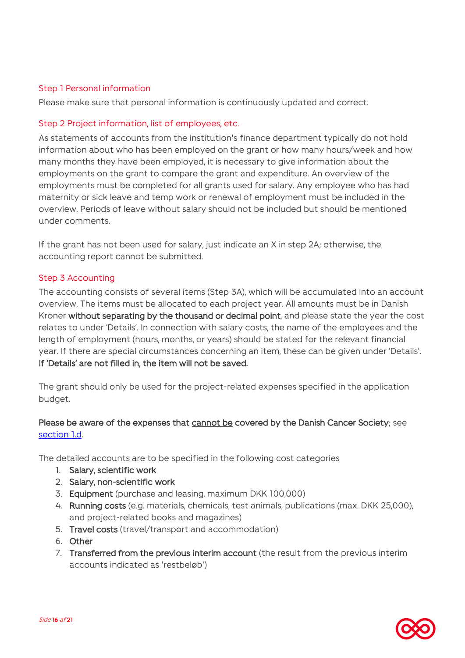### Step 1 Personal information

Please make sure that personal information is continuously updated and correct.

### Step 2 Project information, list of employees, etc.

As statements of accounts from the institution's finance department typically do not hold information about who has been employed on the grant or how many hours/week and how many months they have been employed, it is necessary to give information about the employments on the grant to compare the grant and expenditure. An overview of the employments must be completed for all grants used for salary. Any employee who has had maternity or sick leave and temp work or renewal of employment must be included in the overview. Periods of leave without salary should not be included but should be mentioned under comments.

If the grant has not been used for salary, just indicate an X in step 2A; otherwise, the accounting report cannot be submitted.

### Step 3 Accounting

The accounting consists of several items (Step 3A), which will be accumulated into an account overview. The items must be allocated to each project year. All amounts must be in Danish Kroner without separating by the thousand or decimal point, and please state the year the cost relates to under 'Details'. In connection with salary costs, the name of the employees and the length of employment (hours, months, or years) should be stated for the relevant financial year. If there are special circumstances concerning an item, these can be given under 'Details'. If 'Details' are not filled in, the item will not be saved.

The grant should only be used for the project-related expenses specified in the application budget.

### Please be aware of the expenses that cannot be covered by the Danish Cancer Society; see [section 1.d.](#page-4-0)

The detailed accounts are to be specified in the following cost categories

- 1. Salary, scientific work
- 2. Salary, non-scientific work
- 3. Equipment (purchase and leasing, maximum DKK 100,000)
- 4. Running costs (e.g. materials, chemicals, test animals, publications (max. DKK 25,000), and project-related books and magazines)
- 5. Travel costs (travel/transport and accommodation)
- 6. Other
- 7. Transferred from the previous interim account (the result from the previous interim accounts indicated as 'restbeløb')

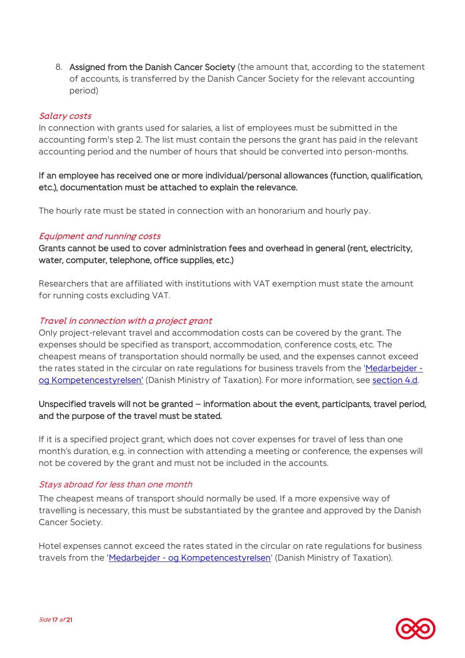8. Assigned from the Danish Cancer Society (the amount that, according to the statement of accounts, is transferred by the Danish Cancer Society for the relevant accounting period)

### Salary costs

In connection with grants used for salaries, a list of employees must be submitted in the accounting form's step 2. The list must contain the persons the grant has paid in the relevant accounting period and the number of hours that should be converted into person-months.

If an employee has received one or more individual/personal allowances (function, qualification, etc.), documentation must be attached to explain the relevance.

The hourly rate must be stated in connection with an honorarium and hourly pay.

#### Equipment and running costs

Grants cannot be used to cover administration fees and overhead in general (rent, electricity, water, computer, telephone, office supplies, etc.)

Researchers that are affiliated with institutions with VAT exemption must state the amount for running costs excluding VAT.

#### Travel in connection with a project grant

Only project-relevant travel and accommodation costs can be covered by the grant. The expenses should be specified as transport, accommodation, conference costs, etc. The cheapest means of transportation should normally be used, and the expenses cannot exceed the rates stated in the circular on rate regulations for business travels from the ['Medarbejder](https://www.medst.dk/soegeside/?q=cirkul%C3%A6re+om+tjenesterejser+2022)  [og Kompetencestyrelsen'](https://www.medst.dk/soegeside/?q=cirkul%C3%A6re+om+tjenesterejser+2022) (Danish Ministry of Taxation). For more information, see [section 4.d.](#page-14-0)

### Unspecified travels will not be granted – information about the event, participants, travel period, and the purpose of the travel must be stated.

If it is a specified project grant, which does not cover expenses for travel of less than one month's duration, e.g. in connection with attending a meeting or conference, the expenses will not be covered by the grant and must not be included in the accounts.

#### Stays abroad for less than one month

The cheapest means of transport should normally be used. If a more expensive way of travelling is necessary, this must be substantiated by the grantee and approved by the Danish Cancer Society.

Hotel expenses cannot exceed the rates stated in the circular on rate regulations for business travels from the 'Medarbejder - [og Kompetencestyrelsen'](https://www.medst.dk/soegeside/?q=cirkul%C3%A6re+om+tjenesterejser+2022) (Danish Ministry of Taxation).

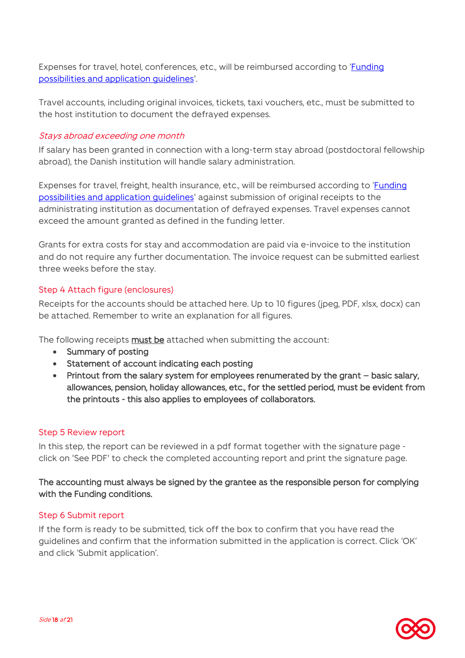Expenses for travel, hotel, conferences, etc., will be reimbursed according to '[Funding](https://www.cancer.dk/dyn/resources/File/file/3/8313/1621413821/funding_possibilities_and_guidelines_uk.pdf)  [possibilities and application guidelines'.](https://www.cancer.dk/dyn/resources/File/file/3/8313/1621413821/funding_possibilities_and_guidelines_uk.pdf)

Travel accounts, including original invoices, tickets, taxi vouchers, etc., must be submitted to the host institution to document the defrayed expenses.

### Stays abroad exceeding one month

If salary has been granted in connection with a long-term stay abroad (postdoctoral fellowship abroad), the Danish institution will handle salary administration.

Expenses for travel, freight, health insurance, etc., will be reimbursed according to '[Funding](https://www.cancer.dk/forskning/stoette-til-forskning/til-bevillingshavere/) possibilities and application quidelines' against submission of original receipts to the administrating institution as documentation of defrayed expenses. Travel expenses cannot exceed the amount granted as defined in the funding letter.

Grants for extra costs for stay and accommodation are paid via e-invoice to the institution and do not require any further documentation. The invoice request can be submitted earliest three weeks before the stay.

### Step 4 Attach figure (enclosures)

Receipts for the accounts should be attached here. Up to 10 figures (jpeg, PDF, xlsx, docx) can be attached. Remember to write an explanation for all figures.

The following receipts must be attached when submitting the account:

- Summary of posting
- Statement of account indicating each posting
- Printout from the salary system for employees renumerated by the grant basic salary, allowances, pension, holiday allowances, etc., for the settled period, must be evident from the printouts - this also applies to employees of collaborators.

### Step 5 Review report

In this step, the report can be reviewed in a pdf format together with the signature page click on 'See PDF' to check the completed accounting report and print the signature page.

### The accounting must always be signed by the grantee as the responsible person for complying with the Funding conditions.

### Step 6 Submit report

If the form is ready to be submitted, tick off the box to confirm that you have read the guidelines and confirm that the information submitted in the application is correct. Click 'OK' and click 'Submit application'.

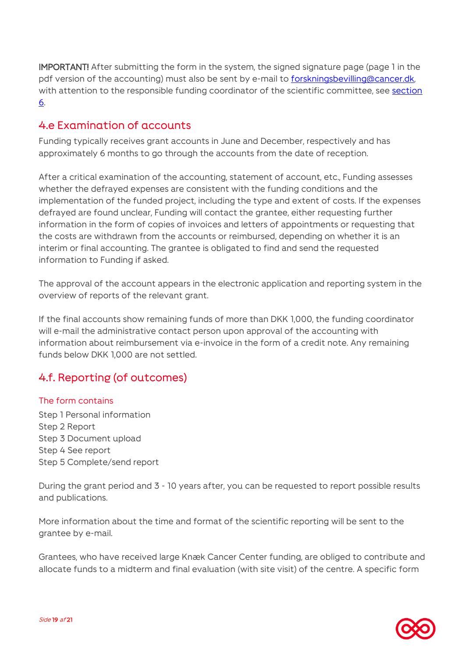IMPORTANT! After submitting the form in the system, the signed signature page (page 1 in the pdf version of the accounting) must also be sent by e-mail to forskningsbevilling@cancer.dk, with attention to the responsible funding coordinator of the scientific committee, see [section](#page-20-0)  [6.](#page-20-0)

### <span id="page-18-0"></span>4.e Examination of accounts

Funding typically receives grant accounts in June and December, respectively and has approximately 6 months to go through the accounts from the date of reception.

After a critical examination of the accounting, statement of account, etc., Funding assesses whether the defrayed expenses are consistent with the funding conditions and the implementation of the funded project, including the type and extent of costs. If the expenses defrayed are found unclear, Funding will contact the grantee, either requesting further information in the form of copies of invoices and letters of appointments or requesting that the costs are withdrawn from the accounts or reimbursed, depending on whether it is an interim or final accounting. The grantee is obligated to find and send the requested information to Funding if asked.

The approval of the account appears in the electronic application and reporting system in the overview of reports of the relevant grant.

If the final accounts show remaining funds of more than DKK 1,000, the funding coordinator will e-mail the administrative contact person upon approval of the accounting with information about reimbursement via e-invoice in the form of a credit note. Any remaining funds below DKK 1,000 are not settled.

# <span id="page-18-1"></span>4.f. Reporting (of outcomes)

### The form contains

Step 1 Personal information Step 2 Report Step 3 Document upload Step 4 See report Step 5 Complete/send report

During the grant period and 3 - 10 years after, you can be requested to report possible results and publications.

More information about the time and format of the scientific reporting will be sent to the grantee by e-mail.

Grantees, who have received large Knæk Cancer Center funding, are obliged to contribute and allocate funds to a midterm and final evaluation (with site visit) of the centre. A specific form

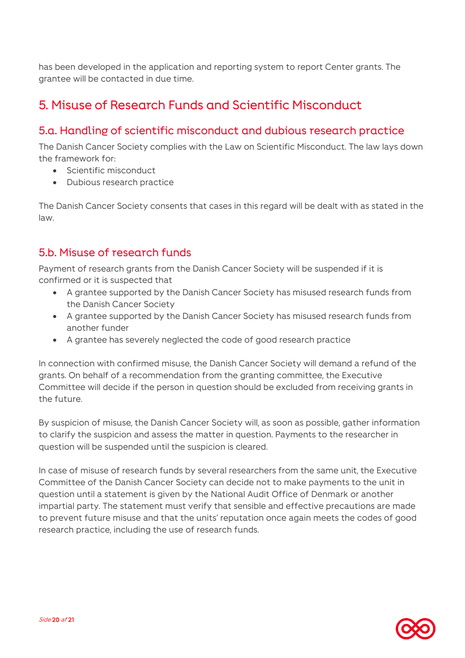has been developed in the application and reporting system to report Center grants. The grantee will be contacted in due time.

# <span id="page-19-0"></span>5. Misuse of Research Funds and Scientific Misconduct

### <span id="page-19-1"></span>5.a. Handling of scientific misconduct and dubious research practice

The Danish Cancer Society complies with the Law on Scientific Misconduct. The law lays down the framework for:

- Scientific misconduct
- Dubious research practice

The Danish Cancer Society consents that cases in this regard will be dealt with as stated in the law.

### <span id="page-19-2"></span>5.b. Misuse of research funds

Payment of research grants from the Danish Cancer Society will be suspended if it is confirmed or it is suspected that

- A grantee supported by the Danish Cancer Society has misused research funds from the Danish Cancer Society
- A grantee supported by the Danish Cancer Society has misused research funds from another funder
- A grantee has severely neglected the code of good research practice

In connection with confirmed misuse, the Danish Cancer Society will demand a refund of the grants. On behalf of a recommendation from the granting committee, the Executive Committee will decide if the person in question should be excluded from receiving grants in the future.

By suspicion of misuse, the Danish Cancer Society will, as soon as possible, gather information to clarify the suspicion and assess the matter in question. Payments to the researcher in question will be suspended until the suspicion is cleared.

In case of misuse of research funds by several researchers from the same unit, the Executive Committee of the Danish Cancer Society can decide not to make payments to the unit in question until a statement is given by the National Audit Office of Denmark or another impartial party. The statement must verify that sensible and effective precautions are made to prevent future misuse and that the units' reputation once again meets the codes of good research practice, including the use of research funds.